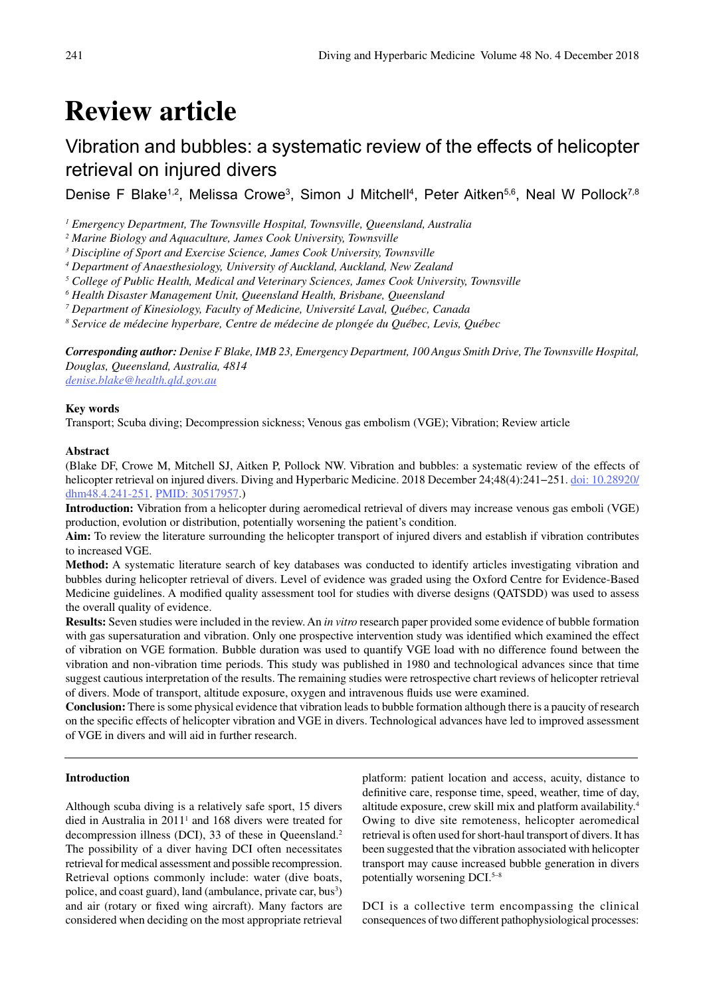# **Review article**

# Vibration and bubbles: a systematic review of the effects of helicopter retrieval on injured divers

Denise F Blake<sup>1,2</sup>, Melissa Crowe<sup>3</sup>, Simon J Mitchell<sup>4</sup>, Peter Aitken<sup>5,6</sup>, Neal W Pollock<sup>7,8</sup>

<sup>1</sup> Emergency Department, The Townsville Hospital, Townsville, Queensland, Australia

*2 Marine Biology and Aquaculture, James Cook University, Townsville*

*3 Discipline of Sport and Exercise Science, James Cook University, Townsville*

*4 Department of Anaesthesiology, University of Auckland, Auckland, New Zealand*

<sup>5</sup> College of Public Health, Medical and Veterinary Sciences, James Cook University, Townsville

*6 Health Disaster Management Unit, Queensland Health, Brisbane, Queensland*

*7 Department of Kinesiology, Faculty of Medicine, Université Laval, Québec, Canada*

*8 Service de médecine hyperbare, Centre de médecine de plongée du Québec, Levis, Québec*

*Corresponding author: Denise F Blake, IMB 23, Emergency Department, 100 Angus Smith Drive, The Townsville Hospital, Douglas, Queensland, Australia, 4814 denise.blake@health.qld.gov.au*

# **Key words**

Transport; Scuba diving; Decompression sickness; Venous gas embolism (VGE); Vibration; Review article

# **Abstract**

(Blake DF, Crowe M, Mitchell SJ, Aitken P, Pollock NW. Vibration and bubbles: a systematic review of the effects of helicopter retrieval on injured divers. Diving and Hyperbaric Medicine. 2018 December 24;48(4):241−251. doi: 10.28920/ dhm48.4.241-251. PMID: 30517957.)

**Introduction:** Vibration from a helicopter during aeromedical retrieval of divers may increase venous gas emboli (VGE) production, evolution or distribution, potentially worsening the patient's condition.

**Aim:** To review the literature surrounding the helicopter transport of injured divers and establish if vibration contributes to increased VGE.

**Method:** A systematic literature search of key databases was conducted to identify articles investigating vibration and bubbles during helicopter retrieval of divers. Level of evidence was graded using the Oxford Centre for Evidence-Based Medicine guidelines. A modified quality assessment tool for studies with diverse designs (QATSDD) was used to assess the overall quality of evidence.

**Results:** Seven studies were included in the review. An *in vitro* research paper provided some evidence of bubble formation with gas supersaturation and vibration. Only one prospective intervention study was identified which examined the effect of vibration on VGE formation. Bubble duration was used to quantify VGE load with no difference found between the vibration and non-vibration time periods. This study was published in 1980 and technological advances since that time suggest cautious interpretation of the results. The remaining studies were retrospective chart reviews of helicopter retrieval of divers. Mode of transport, altitude exposure, oxygen and intravenous fluids use were examined.

**Conclusion:** There is some physical evidence that vibration leads to bubble formation although there is a paucity of research on the specific effects of helicopter vibration and VGE in divers. Technological advances have led to improved assessment of VGE in divers and will aid in further research.

# **Introduction**

Although scuba diving is a relatively safe sport, 15 divers died in Australia in 2011<sup>1</sup> and 168 divers were treated for decompression illness (DCI), 33 of these in Queensland.<sup>2</sup> The possibility of a diver having DCI often necessitates retrieval for medical assessment and possible recompression. Retrieval options commonly include: water (dive boats, police, and coast guard), land (ambulance, private car, bus<sup>3</sup>) and air (rotary or fixed wing aircraft). Many factors are considered when deciding on the most appropriate retrieval platform: patient location and access, acuity, distance to definitive care, response time, speed, weather, time of day, altitude exposure, crew skill mix and platform availability.4 Owing to dive site remoteness, helicopter aeromedical retrieval is often used for short-haul transport of divers. It has been suggested that the vibration associated with helicopter transport may cause increased bubble generation in divers potentially worsening DCI.5–8

DCI is a collective term encompassing the clinical consequences of two different pathophysiological processes: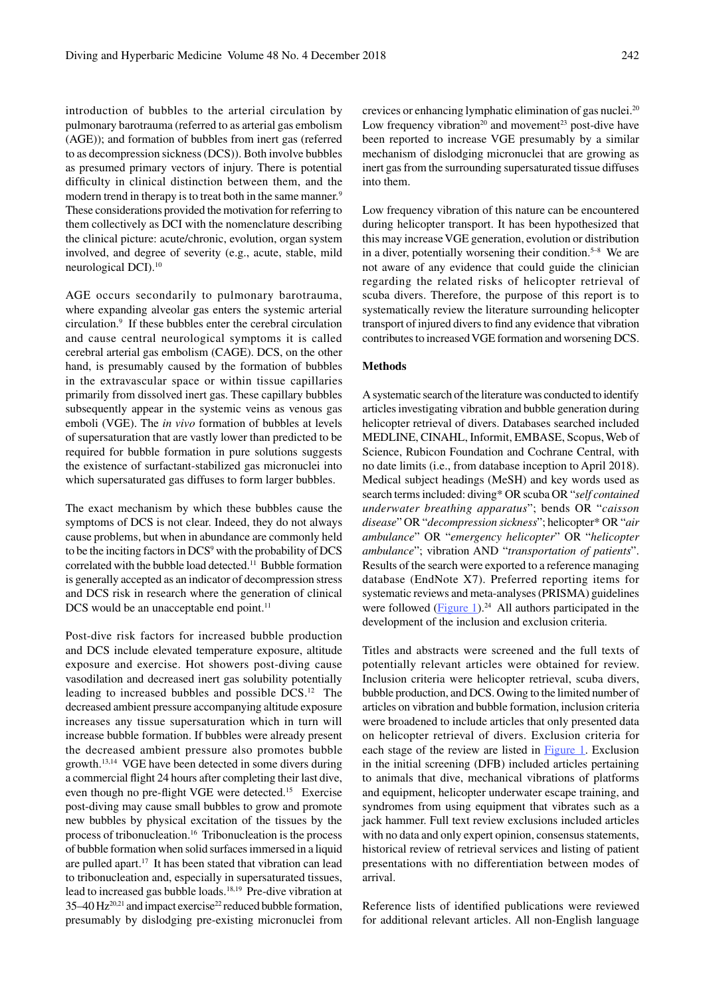introduction of bubbles to the arterial circulation by pulmonary barotrauma (referred to as arterial gas embolism (AGE)); and formation of bubbles from inert gas (referred to as decompression sickness (DCS)). Both involve bubbles as presumed primary vectors of injury. There is potential difficulty in clinical distinction between them, and the modern trend in therapy is to treat both in the same manner.<sup>9</sup> These considerations provided the motivation for referring to them collectively as DCI with the nomenclature describing the clinical picture: acute/chronic, evolution, organ system involved, and degree of severity (e.g., acute, stable, mild neurological DCI).10

AGE occurs secondarily to pulmonary barotrauma, where expanding alveolar gas enters the systemic arterial circulation.9 If these bubbles enter the cerebral circulation and cause central neurological symptoms it is called cerebral arterial gas embolism (CAGE). DCS, on the other hand, is presumably caused by the formation of bubbles in the extravascular space or within tissue capillaries primarily from dissolved inert gas. These capillary bubbles subsequently appear in the systemic veins as venous gas emboli (VGE). The *in vivo* formation of bubbles at levels of supersaturation that are vastly lower than predicted to be required for bubble formation in pure solutions suggests the existence of surfactant-stabilized gas micronuclei into which supersaturated gas diffuses to form larger bubbles.

The exact mechanism by which these bubbles cause the symptoms of DCS is not clear. Indeed, they do not always cause problems, but when in abundance are commonly held to be the inciting factors in DCS<sup>9</sup> with the probability of DCS correlated with the bubble load detected.11 Bubble formation is generally accepted as an indicator of decompression stress and DCS risk in research where the generation of clinical DCS would be an unacceptable end point.<sup>11</sup>

Post-dive risk factors for increased bubble production and DCS include elevated temperature exposure, altitude exposure and exercise. Hot showers post-diving cause vasodilation and decreased inert gas solubility potentially leading to increased bubbles and possible DCS.12 The decreased ambient pressure accompanying altitude exposure increases any tissue supersaturation which in turn will increase bubble formation. If bubbles were already present the decreased ambient pressure also promotes bubble growth.13,14 VGE have been detected in some divers during a commercial flight 24 hours after completing their last dive, even though no pre-flight VGE were detected.<sup>15</sup> Exercise post-diving may cause small bubbles to grow and promote new bubbles by physical excitation of the tissues by the process of tribonucleation.16 Tribonucleation is the process of bubble formation when solid surfaces immersed in a liquid are pulled apart.17 It has been stated that vibration can lead to tribonucleation and, especially in supersaturated tissues, lead to increased gas bubble loads.18,19 Pre-dive vibration at 35–40  $\text{Hz}^{20,21}$  and impact exercise<sup>22</sup> reduced bubble formation, presumably by dislodging pre-existing micronuclei from crevices or enhancing lymphatic elimination of gas nuclei.20 Low frequency vibration<sup>20</sup> and movement<sup>23</sup> post-dive have been reported to increase VGE presumably by a similar mechanism of dislodging micronuclei that are growing as inert gas from the surrounding supersaturated tissue diffuses into them.

Low frequency vibration of this nature can be encountered during helicopter transport. It has been hypothesized that this may increase VGE generation, evolution or distribution in a diver, potentially worsening their condition.<sup>5–8</sup> We are not aware of any evidence that could guide the clinician regarding the related risks of helicopter retrieval of scuba divers. Therefore, the purpose of this report is to systematically review the literature surrounding helicopter transport of injured divers to find any evidence that vibration contributes to increased VGE formation and worsening DCS.

# **Methods**

A systematic search of the literature was conducted to identify articles investigating vibration and bubble generation during helicopter retrieval of divers. Databases searched included MEDLINE, CINAHL, Informit, EMBASE, Scopus, Web of Science, Rubicon Foundation and Cochrane Central, with no date limits (i.e., from database inception to April 2018). Medical subject headings (MeSH) and key words used as search terms included: diving\* OR scuba OR "*self contained underwater breathing apparatus*"; bends OR "*caisson disease*" OR "*decompression sickness*"; helicopter\* OR "*air ambulance*" OR "*emergency helicopter*" OR "*helicopter ambulance*"; vibration AND "*transportation of patients*". Results of the search were exported to a reference managing database (EndNote X7). Preferred reporting items for systematic reviews and meta-analyses (PRISMA) guidelines were followed  $(Figure 1).<sup>24</sup>$  All authors participated in the development of the inclusion and exclusion criteria.

Titles and abstracts were screened and the full texts of potentially relevant articles were obtained for review. Inclusion criteria were helicopter retrieval, scuba divers, bubble production, and DCS. Owing to the limited number of articles on vibration and bubble formation, inclusion criteria were broadened to include articles that only presented data on helicopter retrieval of divers. Exclusion criteria for each stage of the review are listed in Figure 1. Exclusion in the initial screening (DFB) included articles pertaining to animals that dive, mechanical vibrations of platforms and equipment, helicopter underwater escape training, and syndromes from using equipment that vibrates such as a jack hammer. Full text review exclusions included articles with no data and only expert opinion, consensus statements, historical review of retrieval services and listing of patient presentations with no differentiation between modes of arrival.

Reference lists of identified publications were reviewed for additional relevant articles. All non-English language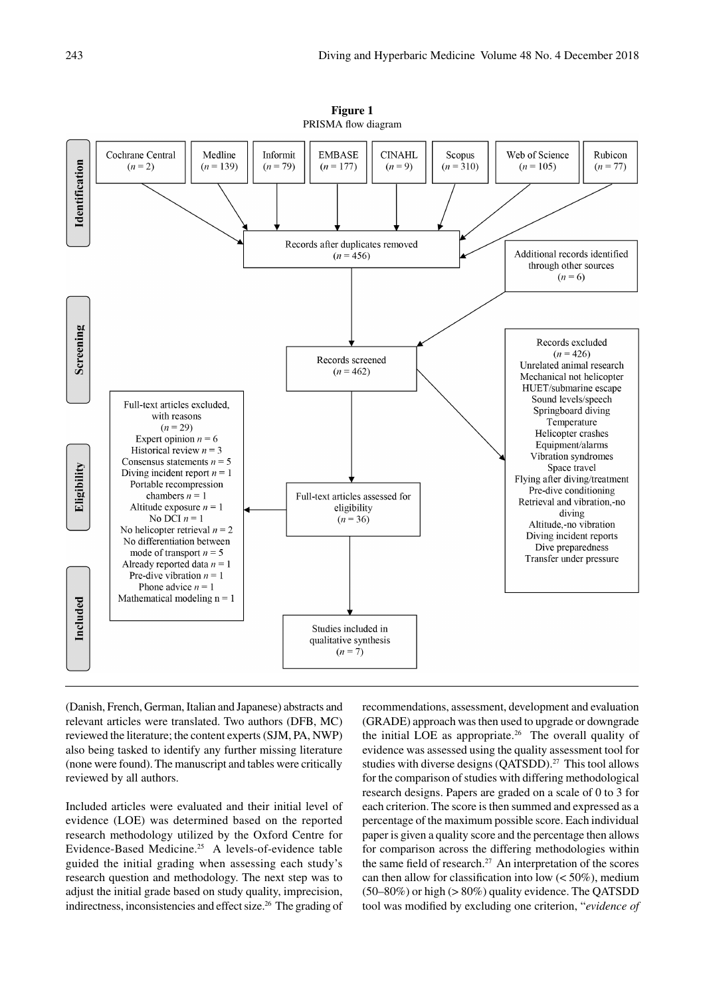

**Figure 1** PRISMA flow diagram

(Danish, French, German, Italian and Japanese) abstracts and relevant articles were translated. Two authors (DFB, MC) reviewed the literature; the content experts (SJM, PA, NWP) also being tasked to identify any further missing literature (none were found). The manuscript and tables were critically reviewed by all authors.

Included articles were evaluated and their initial level of evidence (LOE) was determined based on the reported research methodology utilized by the Oxford Centre for Evidence-Based Medicine.25 A levels-of-evidence table guided the initial grading when assessing each study's research question and methodology. The next step was to adjust the initial grade based on study quality, imprecision, indirectness, inconsistencies and effect size.26 The grading of recommendations, assessment, development and evaluation (GRADE) approach was then used to upgrade or downgrade the initial LOE as appropriate.<sup>26</sup> The overall quality of evidence was assessed using the quality assessment tool for studies with diverse designs  $(QATSDD)$ .<sup>27</sup> This tool allows for the comparison of studies with differing methodological research designs. Papers are graded on a scale of 0 to 3 for each criterion. The score is then summed and expressed as a percentage of the maximum possible score. Each individual paper is given a quality score and the percentage then allows for comparison across the differing methodologies within the same field of research.<sup>27</sup> An interpretation of the scores can then allow for classification into low  $(< 50\%)$ , medium (50–80%) or high (> 80%) quality evidence. The QATSDD tool was modified by excluding one criterion, "*evidence of*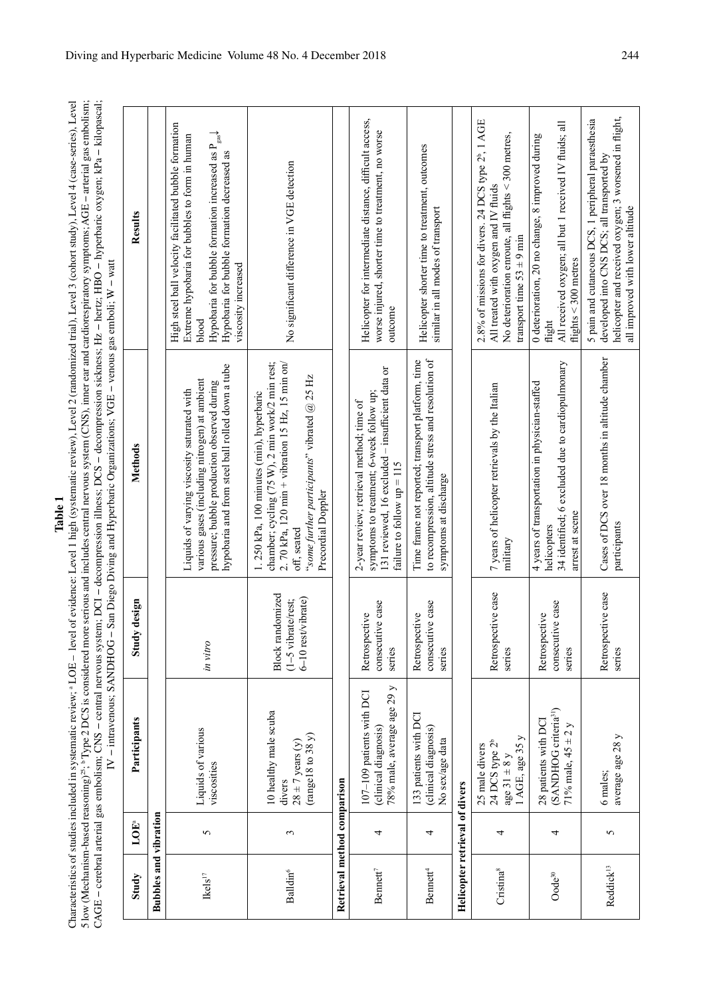Characteristics of studies included in systematic review; <sup>a</sup> LOE – level of evidence: Level 1 high (systematic review), Level 2 (randomized trial), Level 3 (cohort study), Level 4 (case-series), Level<br>5 low (Mechanism-bas Characteristics of studies included in systematic review; <sup>a</sup> LOE – level of evidence: Level 1 high (systematic review), Level 2 (randomized trial), Level 3 (cohort study), Level 4 (case-series), Level 5 low (Mechanism-based reasoning)25; b Type 2 DCS is considered more serious and includes central nervous system (CNS), inner ear and cardiorespiratory symptoms; AGE − arterial gas embolism; CAGE − cerebral arterial gas embolism; CNS − central nervous system; DCI − decompression illness; DCS − decompression sickness; Hz − hertz; HBO − hyperbaric oxygen; kPa − kilopascal;

|                                |            | IV - intravenous; SANDHOG -                                                                 |                                                                | San Diego Diving and Hyperbaric Organizations; VGE - venous gas emboli; W - watt                                                                                                                                                       |                                                                                                                                                                                                                                                                  |
|--------------------------------|------------|---------------------------------------------------------------------------------------------|----------------------------------------------------------------|----------------------------------------------------------------------------------------------------------------------------------------------------------------------------------------------------------------------------------------|------------------------------------------------------------------------------------------------------------------------------------------------------------------------------------------------------------------------------------------------------------------|
| Study                          | LOE        | Participants                                                                                | design<br>Study                                                | Methods                                                                                                                                                                                                                                | Results                                                                                                                                                                                                                                                          |
| <b>Bubbles and vibration</b>   |            |                                                                                             |                                                                |                                                                                                                                                                                                                                        |                                                                                                                                                                                                                                                                  |
| $\mbox{Kels}^{17}$             | $\sigma$   | Liquids of various<br>viscosities                                                           | in vitro                                                       | hypobaria and from steel ball rolled down a tube<br>various gases (including nitrogen) at ambient<br>pressure; bubble production observed during<br>Liquids of varying viscosity saturated with                                        | High steel ball velocity facilitated bubble formation<br>$\rightarrow$ $\atop$<br>Extreme hypobaria for bubbles to form in human<br>Hypobaria for bubble formation increased as P<br>Hypobaria for bubble formation decreased as<br>viscosity increased<br>blood |
| <b>Balldin</b> <sup>6</sup>    | $\epsilon$ | 10 healthy male scuba<br>(range18 to 38 y)<br>$28 \pm 7$ years (y)<br>divers                | Block randomized<br>6-10 rest/vibrate)<br>$(1-5$ vibrate/rest; | chamber; cycling (75 W), 2 min work/2 min rest;<br>2. 70 kPa, 120 min + vibration 15 Hz, 15 min on/<br>"some further participants" vibrated $@$ 25 Hz<br>1.250 kPa, 100 minutes (min), hyperbaric<br>Precordial Doppler<br>off, seated | No significant difference in VGE detection                                                                                                                                                                                                                       |
| Retrieval method comparison    |            |                                                                                             |                                                                |                                                                                                                                                                                                                                        |                                                                                                                                                                                                                                                                  |
| Bennett <sup>7</sup>           | 4          | 78% male, average age 29 y<br>107-109 patients with DCI<br>(clinical diagnosis)             | consecutive case<br>Retrospective<br>series                    | 131 reviewed, 16 excluded - insufficient data or<br>symptoms to treatment; 6-week follow up;<br>2-year review; retrieval method; time of<br>failure to follow $up = 115$                                                               | Helicopter for intermediate distance, difficult access,<br>worse injured, shorter time to treatment, no worse<br>outcome                                                                                                                                         |
| Bennett <sup>4</sup>           | 4          | 133 patients with DCI<br>(clinical diagnosis)<br>No sex/age data                            | consecutive case<br>Retrospective<br>series                    | to recompression, altitude stress and resolution of<br>Time frame not reported; transport platform, time<br>symptoms at discharge                                                                                                      | Helicopter shorter time to treatment, outcomes<br>similar in all modes of transport                                                                                                                                                                              |
| Helicopter retrieval of divers |            |                                                                                             |                                                                |                                                                                                                                                                                                                                        |                                                                                                                                                                                                                                                                  |
| Cristina <sup>8</sup>          | 4          | $1$ AGE, age 35 $y$<br>24 DCS type 2 <sup>b</sup><br>25 male divers<br>age $31 \pm 8$ y     | Retrospective case<br>series                                   | 7 years of helicopter retrievals by the Italian<br>military                                                                                                                                                                            | 2.8% of missions for divers. 24 DCS type 2 <sup>b</sup> , 1 AGE<br>No deterioration enroute, all flights $<$ 300 metres,<br>All treated with oxygen and IV fluids<br>transport time $53 \pm 9$ min                                                               |
| $Oode^{30}$                    | 4          | (SANDHOG criteria <sup>31</sup> )<br>28 patients with DCI<br>$\geq$<br>71% male, $45 \pm 2$ | consecutive case<br>Retrospective<br>series                    | 34 identified; 6 excluded due to cardiopulmonary<br>4 years of transportation in physician-staffed<br>arrest at scene<br>helicopters                                                                                                   | All received oxygen; all but 1 received IV fluids; all<br>0 deterioration, 20 no change, 8 improved during<br>flights $<$ 300 metres<br>flight                                                                                                                   |
| Reddick <sup>13</sup>          | 5          | average age 28 y<br>6 males;                                                                | Retrospective case<br>series                                   | Cases of DCS over 18 months in altitude chamber<br>participants                                                                                                                                                                        | helicopter and received oxygen; 3 worsened in flight,<br>5 pain and cutaneous DCS, 1 peripheral paraesthesia<br>developed into CNS DCS; all transported by<br>all improved with lower altitude                                                                   |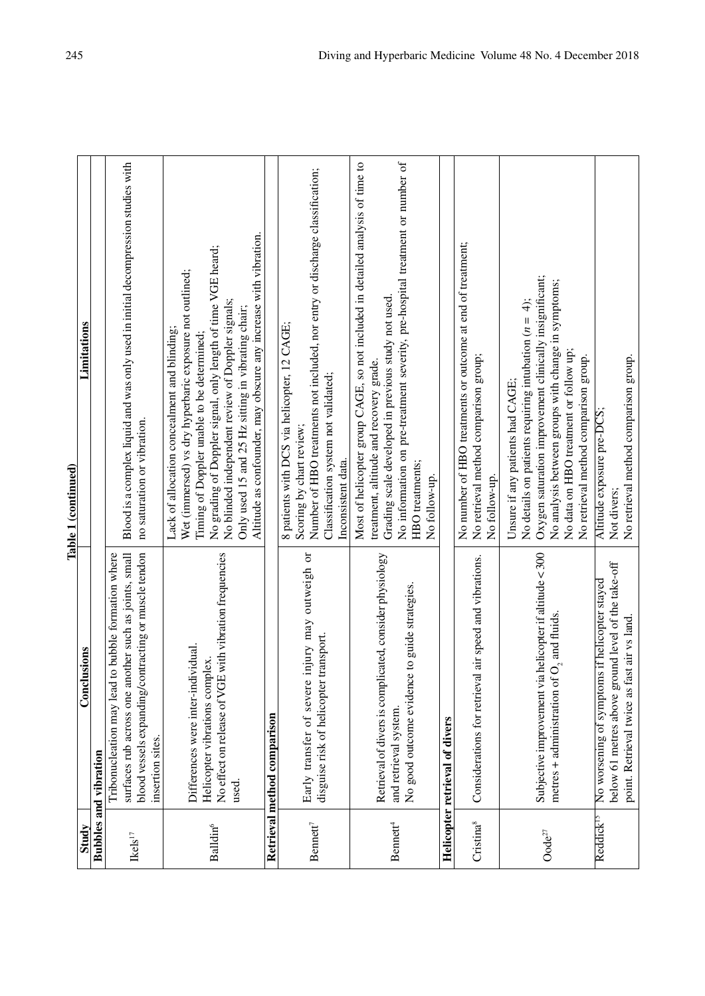| ï |  |
|---|--|
|   |  |
|   |  |
|   |  |
|   |  |
|   |  |
|   |  |
|   |  |
|   |  |
|   |  |
|   |  |
|   |  |
|   |  |
|   |  |
|   |  |
|   |  |

|                                           |                                                                                                                                                                                            | Table 1 (continued)                                                                                                                                                                                                                                                                                                                                                                                  |
|-------------------------------------------|--------------------------------------------------------------------------------------------------------------------------------------------------------------------------------------------|------------------------------------------------------------------------------------------------------------------------------------------------------------------------------------------------------------------------------------------------------------------------------------------------------------------------------------------------------------------------------------------------------|
| Study                                     | Conclusions                                                                                                                                                                                | Limitations                                                                                                                                                                                                                                                                                                                                                                                          |
|                                           | <b>Bubbles and vibration</b>                                                                                                                                                               |                                                                                                                                                                                                                                                                                                                                                                                                      |
| $\mbox{Rels}^{17}$                        | blood vessels expanding/contracting or muscle tendon<br>surfaces rub across one another such as joints, small<br>to bubble formation where<br>Tribonucleation may lead<br>insertion sites. | Blood is a complex liquid and was only used in initial decompression studies with<br>no saturation or vibration.                                                                                                                                                                                                                                                                                     |
| Balldin <sup>6</sup>                      | No effect on release of VGE with vibration frequencies<br>Differences were inter-individual.<br>Helicopter vibrations complex.<br>used.                                                    | Altitude as confounder, may obscure any increase with vibration.<br>No grading of Doppler signal, only length of time VGE heard;<br>Wet (immersed) vs dry hyperbaric exposure not outlined;<br>No blinded independent review of Doppler signals;<br>Only used 15 and 25 Hz sitting in vibrating chair;<br>Lack of allocation concealment and blinding;<br>Timing of Doppler unable to be determined; |
|                                           | Retrieval method comparison                                                                                                                                                                |                                                                                                                                                                                                                                                                                                                                                                                                      |
| Bennett <sup>7</sup>                      | injury may outweigh or<br>transport.<br>disguise risk of helicopter<br>Early transfer of severe                                                                                            | Number of HBO treatments not included, nor entry or discharge classification;<br>8 patients with DCS via helicopter, 12 CAGE;<br>Classification system not validated;<br>Scoring by chart review;<br>Inconsistent data.                                                                                                                                                                              |
| Bennett <sup>4</sup>                      | Retrieval of divers is complicated, consider physiology<br>No good outcome evidence to guide strategies<br>and retrieval system.                                                           | Most of helicopter group CAGE, so not included in detailed analysis of time to<br>No information on pre-treatment severity, pre-hospital treatment or number of<br>Grading scale developed in previous study not used.<br>treatment, altitude and recovery grade.<br>HBO treatments;<br>No follow-up.                                                                                                |
|                                           | Helicopter retrieval of divers                                                                                                                                                             |                                                                                                                                                                                                                                                                                                                                                                                                      |
| Cristina <sup>8</sup>                     | Considerations for retrieval air speed and vibrations.                                                                                                                                     | No number of HBO treatments or outcome at end of treatment;<br>No retrieval method comparison group;<br>No follow-up.                                                                                                                                                                                                                                                                                |
| $\mathbf{O} \mathbf{O} d \mathbf{e}^{27}$ | Subjective improvement via helicopter if altitude $<$ 300<br>$\overline{O}_2$ and fluids.<br>metres + administration of                                                                    | Oxygen saturation improvement clinically insignificant;<br>No analysis between groups with change in symptoms;<br>No details on patients requiring intubation $(n = 4)$ ;<br>No data on HBO treatment or follow up;<br>No retrieval method comparison group.<br>Unsure if any patients had CAGE;                                                                                                     |
| Reddick <sup>15</sup>                     | below 61 metres above ground level of the take-off<br>No worsening of symptoms if helicopter stayed<br>point. Retrieval twice as fast air vs land.                                         | No retrieval method comparison group.<br>Altitude exposure pre-DCS<br>Not divers;                                                                                                                                                                                                                                                                                                                    |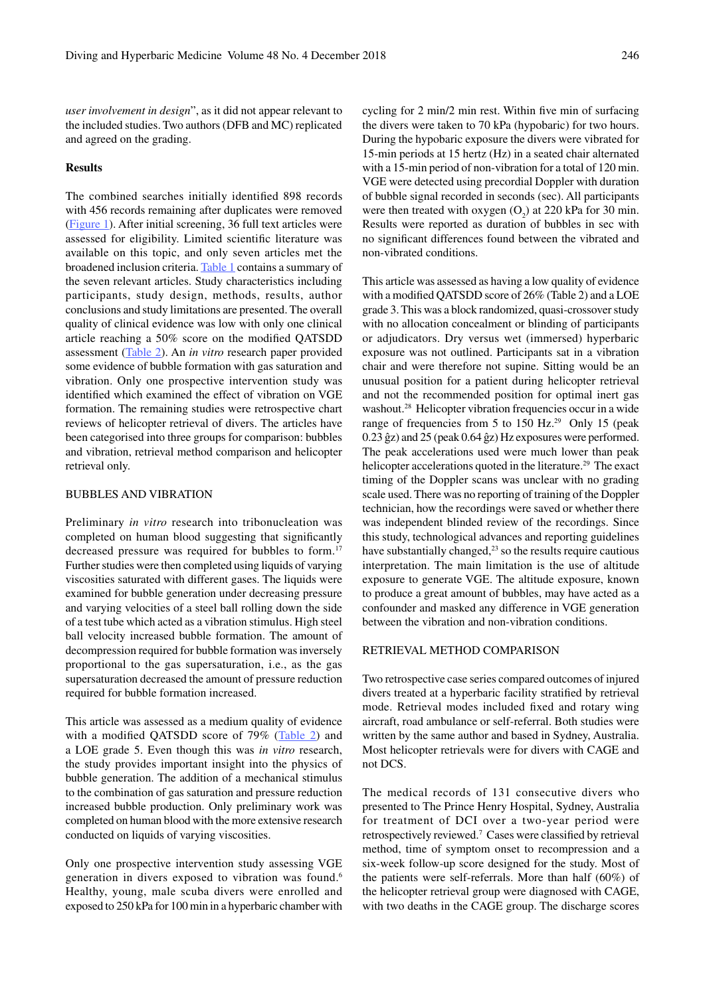*user involvement in design*", as it did not appear relevant to the included studies. Two authors (DFB and MC) replicated and agreed on the grading.

#### **Results**

The combined searches initially identified 898 records with 456 records remaining after duplicates were removed (Figure 1). After initial screening, 36 full text articles were assessed for eligibility. Limited scientific literature was available on this topic, and only seven articles met the broadened inclusion criteria. Table 1 contains a summary of the seven relevant articles. Study characteristics including participants, study design, methods, results, author conclusions and study limitations are presented. The overall quality of clinical evidence was low with only one clinical article reaching a 50% score on the modified QATSDD assessment (Table 2). An *in vitro* research paper provided some evidence of bubble formation with gas saturation and vibration. Only one prospective intervention study was identified which examined the effect of vibration on VGE formation. The remaining studies were retrospective chart reviews of helicopter retrieval of divers. The articles have been categorised into three groups for comparison: bubbles and vibration, retrieval method comparison and helicopter retrieval only.

# BUBBLES AND VIBRATION

Preliminary *in vitro* research into tribonucleation was completed on human blood suggesting that significantly decreased pressure was required for bubbles to form.<sup>17</sup> Further studies were then completed using liquids of varying viscosities saturated with different gases. The liquids were examined for bubble generation under decreasing pressure and varying velocities of a steel ball rolling down the side of a test tube which acted as a vibration stimulus. High steel ball velocity increased bubble formation. The amount of decompression required for bubble formation was inversely proportional to the gas supersaturation, i.e., as the gas supersaturation decreased the amount of pressure reduction required for bubble formation increased.

This article was assessed as a medium quality of evidence with a modified QATSDD score of 79% (Table 2) and a LOE grade 5. Even though this was *in vitro* research, the study provides important insight into the physics of bubble generation. The addition of a mechanical stimulus to the combination of gas saturation and pressure reduction increased bubble production. Only preliminary work was completed on human blood with the more extensive research conducted on liquids of varying viscosities.

Only one prospective intervention study assessing VGE generation in divers exposed to vibration was found.<sup>6</sup> Healthy, young, male scuba divers were enrolled and exposed to 250 kPa for 100 min in a hyperbaric chamber with cycling for 2 min/2 min rest. Within five min of surfacing the divers were taken to 70 kPa (hypobaric) for two hours. During the hypobaric exposure the divers were vibrated for 15-min periods at 15 hertz (Hz) in a seated chair alternated with a 15-min period of non-vibration for a total of 120 min. VGE were detected using precordial Doppler with duration of bubble signal recorded in seconds (sec). All participants were then treated with oxygen  $(O_2)$  at 220 kPa for 30 min. Results were reported as duration of bubbles in sec with no significant differences found between the vibrated and non-vibrated conditions.

This article was assessed as having a low quality of evidence with a modified QATSDD score of 26% (Table 2) and a LOE grade 3. This was a block randomized, quasi-crossover study with no allocation concealment or blinding of participants or adjudicators. Dry versus wet (immersed) hyperbaric exposure was not outlined. Participants sat in a vibration chair and were therefore not supine. Sitting would be an unusual position for a patient during helicopter retrieval and not the recommended position for optimal inert gas washout.<sup>28</sup> Helicopter vibration frequencies occur in a wide range of frequencies from 5 to 150 Hz.<sup>29</sup> Only 15 (peak 0.23 ĝz) and 25 (peak 0.64 ĝz) Hz exposures were performed. The peak accelerations used were much lower than peak helicopter accelerations quoted in the literature.<sup>29</sup> The exact timing of the Doppler scans was unclear with no grading scale used. There was no reporting of training of the Doppler technician, how the recordings were saved or whether there was independent blinded review of the recordings. Since this study, technological advances and reporting guidelines have substantially changed,<sup>23</sup> so the results require cautious interpretation. The main limitation is the use of altitude exposure to generate VGE. The altitude exposure, known to produce a great amount of bubbles, may have acted as a confounder and masked any difference in VGE generation between the vibration and non-vibration conditions.

### RETRIEVAL METHOD COMPARISON

Two retrospective case series compared outcomes of injured divers treated at a hyperbaric facility stratified by retrieval mode. Retrieval modes included fixed and rotary wing aircraft, road ambulance or self-referral. Both studies were written by the same author and based in Sydney, Australia. Most helicopter retrievals were for divers with CAGE and not DCS.

The medical records of 131 consecutive divers who presented to The Prince Henry Hospital, Sydney, Australia for treatment of DCI over a two-year period were retrospectively reviewed.7 Cases were classified by retrieval method, time of symptom onset to recompression and a six-week follow-up score designed for the study. Most of the patients were self-referrals. More than half (60%) of the helicopter retrieval group were diagnosed with CAGE, with two deaths in the CAGE group. The discharge scores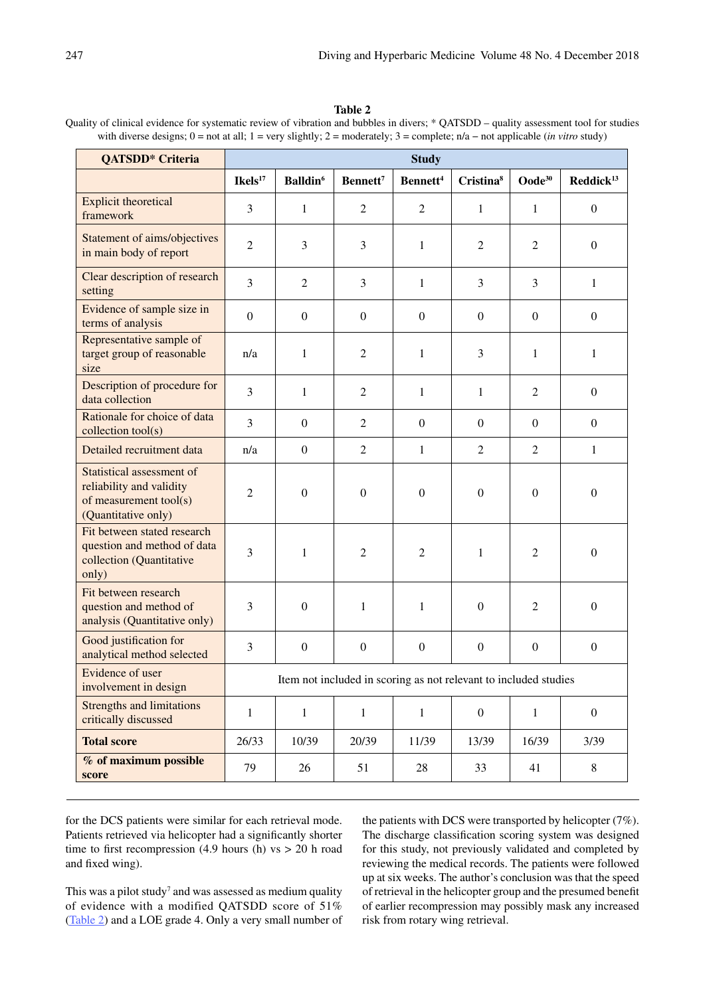# **Table 2**

Quality of clinical evidence for systematic review of vibration and bubbles in divers; \* QATSDD – quality assessment tool for studies with diverse designs; 0 = not at all; 1 = very slightly; 2 = moderately; 3 = complete; n/a − not applicable (*in vitro* study)

| QATSDD <sup>*</sup> Criteria                                                                           | <b>Study</b>                                                     |                             |                      |                      |                       |                  |                      |  |
|--------------------------------------------------------------------------------------------------------|------------------------------------------------------------------|-----------------------------|----------------------|----------------------|-----------------------|------------------|----------------------|--|
|                                                                                                        | $I$ kels $^{17}$                                                 | <b>Balldin</b> <sup>6</sup> | Bennett <sup>7</sup> | Bennett <sup>4</sup> | Cristina <sup>8</sup> | $Oode^{30}$      | $\text{Reduck}^{13}$ |  |
| <b>Explicit theoretical</b><br>framework                                                               | 3                                                                | $\mathbf{1}$                | $\overline{2}$       | $\overline{2}$       | $\mathbf{1}$          | $\mathbf{1}$     | $\mathbf{0}$         |  |
| Statement of aims/objectives<br>in main body of report                                                 | $\overline{2}$                                                   | 3                           | 3                    | $\mathbf{1}$         | $\mathfrak{2}$        | $\mathfrak{2}$   | $\overline{0}$       |  |
| Clear description of research<br>setting                                                               | $\overline{3}$                                                   | $\overline{2}$              | 3                    | $\mathbf{1}$         | 3                     | 3                | $\mathbf{1}$         |  |
| Evidence of sample size in<br>terms of analysis                                                        | $\boldsymbol{0}$                                                 | $\boldsymbol{0}$            | $\overline{0}$       | $\boldsymbol{0}$     | $\boldsymbol{0}$      | $\boldsymbol{0}$ | $\mathbf{0}$         |  |
| Representative sample of<br>target group of reasonable<br>size                                         | n/a                                                              | $\mathbf{1}$                | $\overline{2}$       | $\mathbf{1}$         | 3                     | $\mathbf{1}$     | $\mathbf{1}$         |  |
| Description of procedure for<br>data collection                                                        | 3                                                                | $\mathbf{1}$                | $\overline{2}$       | $\mathbf{1}$         | $\mathbf{1}$          | $\overline{2}$   | $\overline{0}$       |  |
| Rationale for choice of data<br>collection tool(s)                                                     | $\overline{3}$                                                   | $\overline{0}$              | $\overline{2}$       | $\mathbf{0}$         | $\Omega$              | $\boldsymbol{0}$ | $\overline{0}$       |  |
| Detailed recruitment data                                                                              | n/a                                                              | $\boldsymbol{0}$            | $\overline{2}$       | $\mathbf{1}$         | $\overline{2}$        | $\overline{2}$   | $\mathbf{1}$         |  |
| Statistical assessment of<br>reliability and validity<br>of measurement tool(s)<br>(Quantitative only) | $\overline{2}$                                                   | $\boldsymbol{0}$            | $\boldsymbol{0}$     | $\boldsymbol{0}$     | $\boldsymbol{0}$      | $\boldsymbol{0}$ | $\overline{0}$       |  |
| Fit between stated research<br>question and method of data<br>collection (Quantitative<br>only)        | 3                                                                | $\mathbf{1}$                | $\overline{2}$       | $\overline{2}$       | $\mathbf{1}$          | $\overline{2}$   | $\boldsymbol{0}$     |  |
| Fit between research<br>question and method of<br>analysis (Quantitative only)                         | 3                                                                | $\boldsymbol{0}$            | 1                    | 1                    | $\boldsymbol{0}$      | $\overline{2}$   | $\overline{0}$       |  |
| Good justification for<br>analytical method selected                                                   | 3                                                                | $\boldsymbol{0}$            | $\boldsymbol{0}$     | $\boldsymbol{0}$     | $\boldsymbol{0}$      | $\boldsymbol{0}$ | $\mathbf{0}$         |  |
| Evidence of user<br>involvement in design                                                              | Item not included in scoring as not relevant to included studies |                             |                      |                      |                       |                  |                      |  |
| <b>Strengths and limitations</b><br>critically discussed                                               | $\mathbf{1}$                                                     | $\mathbf{1}$                | $\mathbf{1}$         | $\mathbf{1}$         | $\boldsymbol{0}$      | $\mathbf{1}$     | $\mathbf{0}$         |  |
| <b>Total score</b>                                                                                     | 26/33                                                            | 10/39                       | 20/39                | 11/39                | 13/39                 | 16/39            | 3/39                 |  |
| % of maximum possible<br>score                                                                         | 79                                                               | 26                          | 51                   | 28                   | 33                    | 41               | $8\,$                |  |

for the DCS patients were similar for each retrieval mode. Patients retrieved via helicopter had a significantly shorter time to first recompression (4.9 hours (h)  $vs > 20$  h road and fixed wing).

This was a pilot study<sup>7</sup> and was assessed as medium quality of evidence with a modified QATSDD score of 51% (Table 2) and a LOE grade 4. Only a very small number of

the patients with DCS were transported by helicopter (7%). The discharge classification scoring system was designed for this study, not previously validated and completed by reviewing the medical records. The patients were followed up at six weeks. The author's conclusion was that the speed of retrieval in the helicopter group and the presumed benefit of earlier recompression may possibly mask any increased risk from rotary wing retrieval.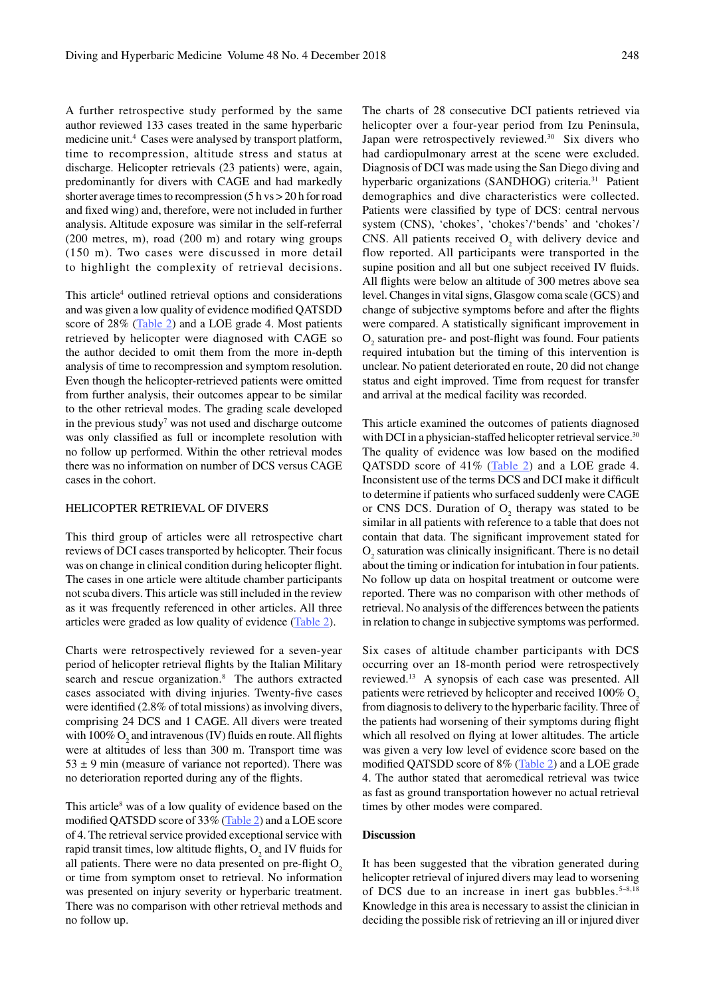A further retrospective study performed by the same author reviewed 133 cases treated in the same hyperbaric medicine unit.<sup>4</sup> Cases were analysed by transport platform, time to recompression, altitude stress and status at discharge. Helicopter retrievals (23 patients) were, again, predominantly for divers with CAGE and had markedly shorter average times to recompression (5 h vs > 20 h for road and fixed wing) and, therefore, were not included in further analysis. Altitude exposure was similar in the self-referral (200 metres, m), road (200 m) and rotary wing groups (150 m). Two cases were discussed in more detail to highlight the complexity of retrieval decisions.

This article<sup>4</sup> outlined retrieval options and considerations and was given a low quality of evidence modified QATSDD score of 28% (Table 2) and a LOE grade 4. Most patients retrieved by helicopter were diagnosed with CAGE so the author decided to omit them from the more in-depth analysis of time to recompression and symptom resolution. Even though the helicopter-retrieved patients were omitted from further analysis, their outcomes appear to be similar to the other retrieval modes. The grading scale developed in the previous study<sup>7</sup> was not used and discharge outcome was only classified as full or incomplete resolution with no follow up performed. Within the other retrieval modes there was no information on number of DCS versus CAGE cases in the cohort.

#### HELICOPTER RETRIEVAL OF DIVERS

This third group of articles were all retrospective chart reviews of DCI cases transported by helicopter. Their focus was on change in clinical condition during helicopter flight. The cases in one article were altitude chamber participants not scuba divers. This article was still included in the review as it was frequently referenced in other articles. All three articles were graded as low quality of evidence  $(Table 2)$ .

Charts were retrospectively reviewed for a seven-year period of helicopter retrieval flights by the Italian Military search and rescue organization.<sup>8</sup> The authors extracted cases associated with diving injuries. Twenty-five cases were identified (2.8% of total missions) as involving divers, comprising 24 DCS and 1 CAGE. All divers were treated with  $100\%$  O<sub>2</sub> and intravenous (IV) fluids en route. All flights were at altitudes of less than 300 m. Transport time was  $53 \pm 9$  min (measure of variance not reported). There was no deterioration reported during any of the flights.

This article<sup>8</sup> was of a low quality of evidence based on the modified QATSDD score of 33% (Table 2) and a LOE score of 4. The retrieval service provided exceptional service with rapid transit times, low altitude flights,  $O_2$  and IV fluids for all patients. There were no data presented on pre-flight  $O<sub>2</sub>$ or time from symptom onset to retrieval. No information was presented on injury severity or hyperbaric treatment. There was no comparison with other retrieval methods and no follow up.

The charts of 28 consecutive DCI patients retrieved via helicopter over a four-year period from Izu Peninsula, Japan were retrospectively reviewed.<sup>30</sup> Six divers who had cardiopulmonary arrest at the scene were excluded. Diagnosis of DCI was made using the San Diego diving and hyperbaric organizations (SANDHOG) criteria.<sup>31</sup> Patient demographics and dive characteristics were collected. Patients were classified by type of DCS: central nervous system (CNS), 'chokes', 'chokes'/'bends' and 'chokes'/ CNS. All patients received  $O_2$  with delivery device and flow reported. All participants were transported in the supine position and all but one subject received IV fluids. All flights were below an altitude of 300 metres above sea level. Changes in vital signs, Glasgow coma scale (GCS) and change of subjective symptoms before and after the flights were compared. A statistically significant improvement in  $\mathrm{O}_2$  saturation pre- and post-flight was found. Four patients required intubation but the timing of this intervention is unclear. No patient deteriorated en route, 20 did not change status and eight improved. Time from request for transfer and arrival at the medical facility was recorded.

This article examined the outcomes of patients diagnosed with DCI in a physician-staffed helicopter retrieval service.<sup>30</sup> The quality of evidence was low based on the modified QATSDD score of  $41\%$  (Table 2) and a LOE grade 4. Inconsistent use of the terms DCS and DCI make it difficult to determine if patients who surfaced suddenly were CAGE or CNS DCS. Duration of  $O_2$  therapy was stated to be similar in all patients with reference to a table that does not contain that data. The significant improvement stated for  $O<sub>2</sub>$  saturation was clinically insignificant. There is no detail about the timing or indication for intubation in four patients. No follow up data on hospital treatment or outcome were reported. There was no comparison with other methods of retrieval. No analysis of the differences between the patients in relation to change in subjective symptoms was performed.

Six cases of altitude chamber participants with DCS occurring over an 18-month period were retrospectively reviewed.13 A synopsis of each case was presented. All patients were retrieved by helicopter and received  $100\%$  O<sub>2</sub> from diagnosis to delivery to the hyperbaric facility. Three of the patients had worsening of their symptoms during flight which all resolved on flying at lower altitudes. The article was given a very low level of evidence score based on the modified QATSDD score of 8% (Table 2) and a LOE grade 4. The author stated that aeromedical retrieval was twice as fast as ground transportation however no actual retrieval times by other modes were compared.

#### **Discussion**

It has been suggested that the vibration generated during helicopter retrieval of injured divers may lead to worsening of DCS due to an increase in inert gas bubbles.<sup>5-8,18</sup> Knowledge in this area is necessary to assist the clinician in deciding the possible risk of retrieving an ill or injured diver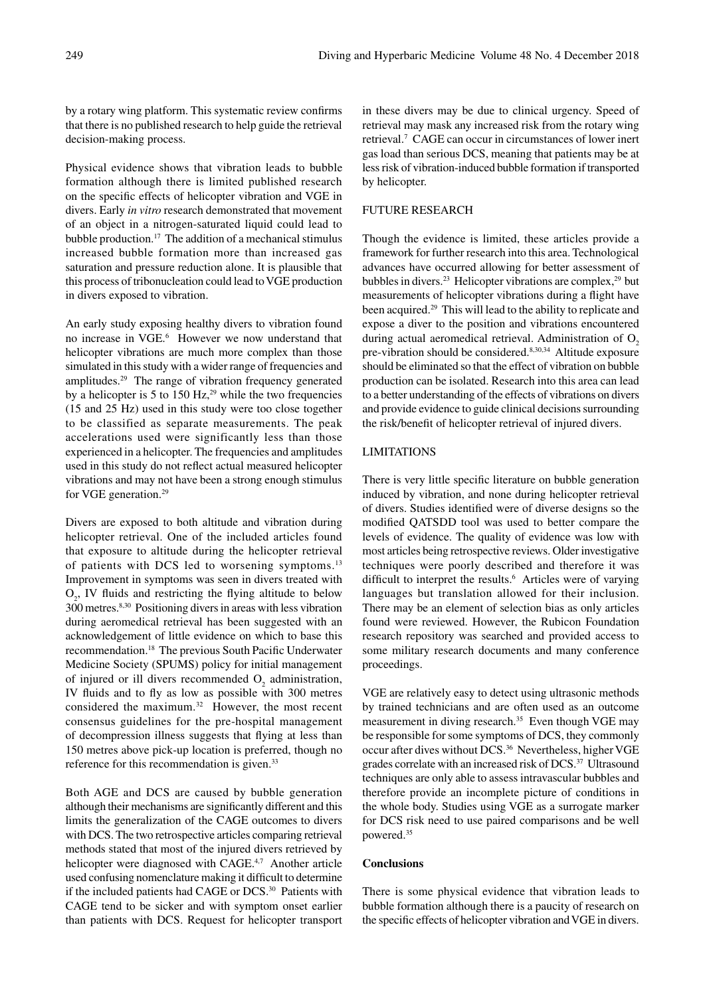by a rotary wing platform. This systematic review confirms that there is no published research to help guide the retrieval decision-making process.

Physical evidence shows that vibration leads to bubble formation although there is limited published research on the specific effects of helicopter vibration and VGE in divers. Early *in vitro* research demonstrated that movement of an object in a nitrogen-saturated liquid could lead to bubble production.17 The addition of a mechanical stimulus increased bubble formation more than increased gas saturation and pressure reduction alone. It is plausible that this process of tribonucleation could lead to VGE production in divers exposed to vibration.

An early study exposing healthy divers to vibration found no increase in VGE.6 However we now understand that helicopter vibrations are much more complex than those simulated in this study with a wider range of frequencies and amplitudes.29 The range of vibration frequency generated by a helicopter is 5 to 150 Hz, $^{29}$  while the two frequencies (15 and 25 Hz) used in this study were too close together to be classified as separate measurements. The peak accelerations used were significantly less than those experienced in a helicopter. The frequencies and amplitudes used in this study do not reflect actual measured helicopter vibrations and may not have been a strong enough stimulus for VGE generation.29

Divers are exposed to both altitude and vibration during helicopter retrieval. One of the included articles found that exposure to altitude during the helicopter retrieval of patients with DCS led to worsening symptoms.<sup>13</sup> Improvement in symptoms was seen in divers treated with  $O_2$ , IV fluids and restricting the flying altitude to below 300 metres.8,30 Positioning divers in areas with less vibration during aeromedical retrieval has been suggested with an acknowledgement of little evidence on which to base this recommendation.18 The previous South Pacific Underwater Medicine Society (SPUMS) policy for initial management of injured or ill divers recommended  $O_2$  administration, IV fluids and to fly as low as possible with 300 metres considered the maximum.32 However, the most recent consensus guidelines for the pre-hospital management of decompression illness suggests that flying at less than 150 metres above pick-up location is preferred, though no reference for this recommendation is given.<sup>33</sup>

Both AGE and DCS are caused by bubble generation although their mechanisms are significantly different and this limits the generalization of the CAGE outcomes to divers with DCS. The two retrospective articles comparing retrieval methods stated that most of the injured divers retrieved by helicopter were diagnosed with CAGE.<sup>4,7</sup> Another article used confusing nomenclature making it difficult to determine if the included patients had CAGE or DCS.<sup>30</sup> Patients with CAGE tend to be sicker and with symptom onset earlier than patients with DCS. Request for helicopter transport in these divers may be due to clinical urgency. Speed of retrieval may mask any increased risk from the rotary wing retrieval.7 CAGE can occur in circumstances of lower inert gas load than serious DCS, meaning that patients may be at less risk of vibration-induced bubble formation if transported by helicopter.

# FUTURE RESEARCH

Though the evidence is limited, these articles provide a framework for further research into this area. Technological advances have occurred allowing for better assessment of bubbles in divers.<sup>23</sup> Helicopter vibrations are complex,<sup>29</sup> but measurements of helicopter vibrations during a flight have been acquired.<sup>29</sup> This will lead to the ability to replicate and expose a diver to the position and vibrations encountered during actual aeromedical retrieval. Administration of  $O<sub>2</sub>$ pre-vibration should be considered.<sup>8,30,34</sup> Altitude exposure should be eliminated so that the effect of vibration on bubble production can be isolated. Research into this area can lead to a better understanding of the effects of vibrations on divers and provide evidence to guide clinical decisions surrounding the risk/benefit of helicopter retrieval of injured divers.

# LIMITATIONS

There is very little specific literature on bubble generation induced by vibration, and none during helicopter retrieval of divers. Studies identified were of diverse designs so the modified QATSDD tool was used to better compare the levels of evidence. The quality of evidence was low with most articles being retrospective reviews. Older investigative techniques were poorly described and therefore it was difficult to interpret the results.<sup>6</sup> Articles were of varying languages but translation allowed for their inclusion. There may be an element of selection bias as only articles found were reviewed. However, the Rubicon Foundation research repository was searched and provided access to some military research documents and many conference proceedings.

VGE are relatively easy to detect using ultrasonic methods by trained technicians and are often used as an outcome measurement in diving research.<sup>35</sup> Even though VGE may be responsible for some symptoms of DCS, they commonly occur after dives without DCS.36 Nevertheless, higher VGE grades correlate with an increased risk of DCS.37 Ultrasound techniques are only able to assess intravascular bubbles and therefore provide an incomplete picture of conditions in the whole body. Studies using VGE as a surrogate marker for DCS risk need to use paired comparisons and be well powered.35

# **Conclusions**

There is some physical evidence that vibration leads to bubble formation although there is a paucity of research on the specific effects of helicopter vibration and VGE in divers.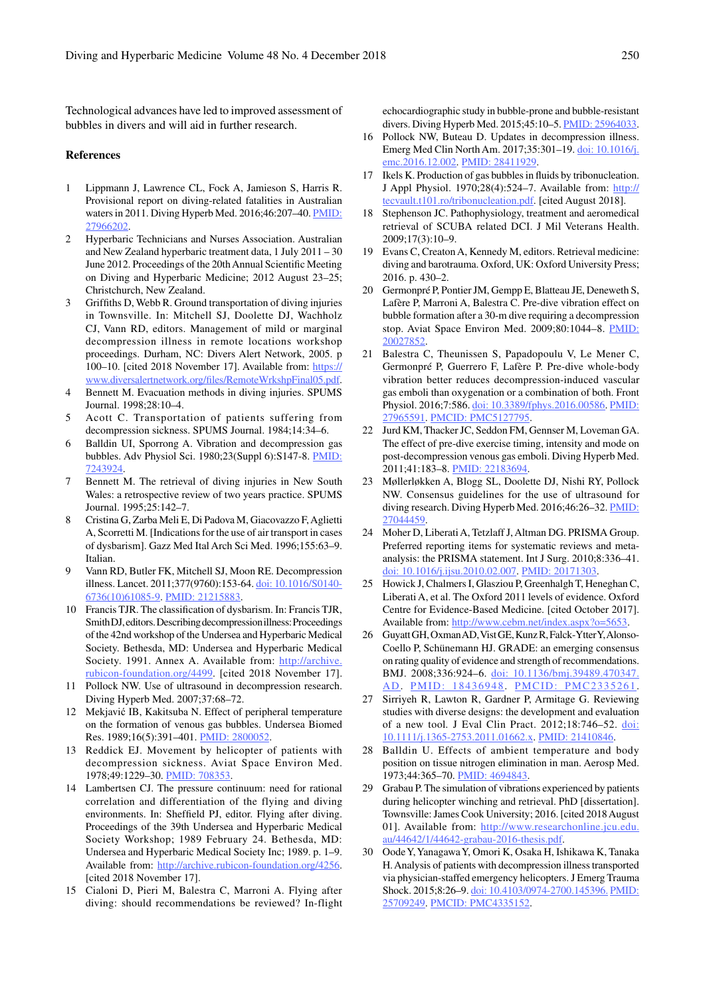Technological advances have led to improved assessment of bubbles in divers and will aid in further research.

#### **References**

- 1 Lippmann J, Lawrence CL, Fock A, Jamieson S, Harris R. Provisional report on diving-related fatalities in Australian waters in 2011. Diving Hyperb Med. 2016;46:207–40. PMID: 27966202.
- 2 Hyperbaric Technicians and Nurses Association. Australian and New Zealand hyperbaric treatment data, 1 July 2011 – 30 June 2012. Proceedings of the 20th Annual Scientific Meeting on Diving and Hyperbaric Medicine; 2012 August 23–25; Christchurch, New Zealand.
- 3 Griffiths D, Webb R. Ground transportation of diving injuries in Townsville. In: Mitchell SJ, Doolette DJ, Wachholz CJ, Vann RD, editors. Management of mild or marginal decompression illness in remote locations workshop proceedings. Durham, NC: Divers Alert Network, 2005. p 100–10. [cited 2018 November 17]. Available from: https:// www.diversalertnetwork.org/files/RemoteWrkshpFinal05.pdf.
- 4 Bennett M. Evacuation methods in diving injuries. SPUMS Journal. 1998;28:10–4.
- 5 Acott C. Transportation of patients suffering from decompression sickness. SPUMS Journal. 1984;14:34–6.
- 6 Balldin UI, Sporrong A. Vibration and decompression gas bubbles. Adv Physiol Sci. 1980;23(Suppl 6):S147-8. PMID: 7243924.
- 7 Bennett M. The retrieval of diving injuries in New South Wales: a retrospective review of two years practice. SPUMS Journal. 1995;25:142–7.
- 8 Cristina G, Zarba Meli E, Di Padova M, Giacovazzo F, Aglietti A, Scorretti M. [Indications for the use of air transport in cases of dysbarism]. Gazz Med Ital Arch Sci Med. 1996;155:63–9. Italian.
- 9 Vann RD, Butler FK, Mitchell SJ, Moon RE. Decompression illness. Lancet. 2011;377(9760):153-64. doi: 10.1016/S0140- 6736(10)61085-9. PMID: 21215883.
- 10 Francis TJR. The classification of dysbarism. In: Francis TJR, Smith DJ, editors. Describing decompression illness: Proceedings of the 42nd workshop of the Undersea and Hyperbaric Medical Society. Bethesda, MD: Undersea and Hyperbaric Medical Society. 1991. Annex A. Available from: http://archive. rubicon-foundation.org/4499. [cited 2018 November 17].
- 11 Pollock NW. Use of ultrasound in decompression research. Diving Hyperb Med. 2007;37:68–72.
- 12 Mekjavić IB, Kakitsuba N. Effect of peripheral temperature on the formation of venous gas bubbles. Undersea Biomed Res. 1989;16(5):391–401. PMID: 2800052.
- 13 Reddick EJ. Movement by helicopter of patients with decompression sickness. Aviat Space Environ Med. 1978;49:1229-30. PMID: 708353
- 14 Lambertsen CJ. The pressure continuum: need for rational correlation and differentiation of the flying and diving environments. In: Sheffield PJ, editor. Flying after diving. Proceedings of the 39th Undersea and Hyperbaric Medical Society Workshop; 1989 February 24. Bethesda, MD: Undersea and Hyperbaric Medical Society Inc; 1989. p. 1–9. Available from: http://archive.rubicon-foundation.org/4256. [cited 2018 November 17].
- 15 Cialoni D, Pieri M, Balestra C, Marroni A. Flying after diving: should recommendations be reviewed? In-flight

echocardiographic study in bubble-prone and bubble-resistant divers. Diving Hyperb Med. 2015;45:10–5. PMID: 25964033.

- 16 Pollock NW, Buteau D. Updates in decompression illness. Emerg Med Clin North Am. 2017;35:301–19. doi: 10.1016/j. emc.2016.12.002. PMID: 28411929.
- 17 Ikels K. Production of gas bubbles in fluids by tribonucleation. J Appl Physiol. 1970;28(4):524–7. Available from: http:// tecvault.t101.ro/tribonucleation.pdf. [cited August 2018].
- 18 Stephenson JC. Pathophysiology, treatment and aeromedical retrieval of SCUBA related DCI. J Mil Veterans Health. 2009;17(3):10–9.
- 19 Evans C, Creaton A, Kennedy M, editors. Retrieval medicine: diving and barotrauma. Oxford, UK: Oxford University Press; 2016. p. 430–2.
- 20 Germonpré P, Pontier JM, Gempp E, Blatteau JE, Deneweth S, Lafère P, Marroni A, Balestra C. Pre-dive vibration effect on bubble formation after a 30-m dive requiring a decompression stop. Aviat Space Environ Med. 2009;80:1044–8. PMID: 20027852.
- 21 Balestra C, Theunissen S, Papadopoulu V, Le Mener C, Germonpré P, Guerrero F, Lafère P. Pre-dive whole-body vibration better reduces decompression-induced vascular gas emboli than oxygenation or a combination of both. Front Physiol. 2016;7:586. doi: 10.3389/fphys.2016.00586. PMID: 27965591. PMCID: PMC5127795.
- 22 Jurd KM, Thacker JC, Seddon FM, Gennser M, Loveman GA. The effect of pre-dive exercise timing, intensity and mode on post-decompression venous gas emboli. Diving Hyperb Med. 2011;41:183–8. PMID: 22183694.
- 23 Møllerløkken A, Blogg SL, Doolette DJ, Nishi RY, Pollock NW. Consensus guidelines for the use of ultrasound for diving research. Diving Hyperb Med. 2016;46:26-32. PMID: 27044459.
- 24 Moher D, Liberati A, Tetzlaff J, Altman DG. PRISMA Group. Preferred reporting items for systematic reviews and metaanalysis: the PRISMA statement. Int J Surg. 2010;8:336–41. doi: 10.1016/j.ijsu.2010.02.007. PMID: 20171303.
- 25 Howick J, Chalmers I, Glasziou P, Greenhalgh T, Heneghan C, Liberati A, et al. The Oxford 2011 levels of evidence. Oxford Centre for Evidence-Based Medicine. [cited October 2017]. Available from: http://www.cebm.net/index.aspx?o=5653.
- 26 Guyatt GH, Oxman AD, Vist GE, Kunz R, Falck-Ytter Y, Alonso-Coello P, Schünemann HJ. GRADE: an emerging consensus on rating quality of evidence and strength of recommendations. BMJ. 2008;336:924–6. doi: 10.1136/bmj.39489.470347. AD. PMID: 18436948. PMCID: PMC2335261.
- 27 Sirriyeh R, Lawton R, Gardner P, Armitage G. Reviewing studies with diverse designs: the development and evaluation of a new tool*.* J Eval Clin Pract. 2012;18:746–52. doi: 10.1111/j.1365-2753.2011.01662.x. PMID: 21410846.
- 28 Balldin U. Effects of ambient temperature and body position on tissue nitrogen elimination in man. Aerosp Med. 1973;44:365–70. PMID: 4694843.
- 29 Grabau P. The simulation of vibrations experienced by patients during helicopter winching and retrieval. PhD [dissertation]. Townsville: James Cook University; 2016. [cited 2018 August 01]. Available from: http://www.researchonline.jcu.edu. au/44642/1/44642-grabau-2016-thesis.pdf.
- 30 Oode Y, Yanagawa Y, Omori K, Osaka H, Ishikawa K, Tanaka H. Analysis of patients with decompression illness transported via physician-staffed emergency helicopters. J Emerg Trauma Shock. 2015;8:26-9. doi: 10.4103/0974-2700.145396. PMID: 25709249. PMCID: PMC4335152.